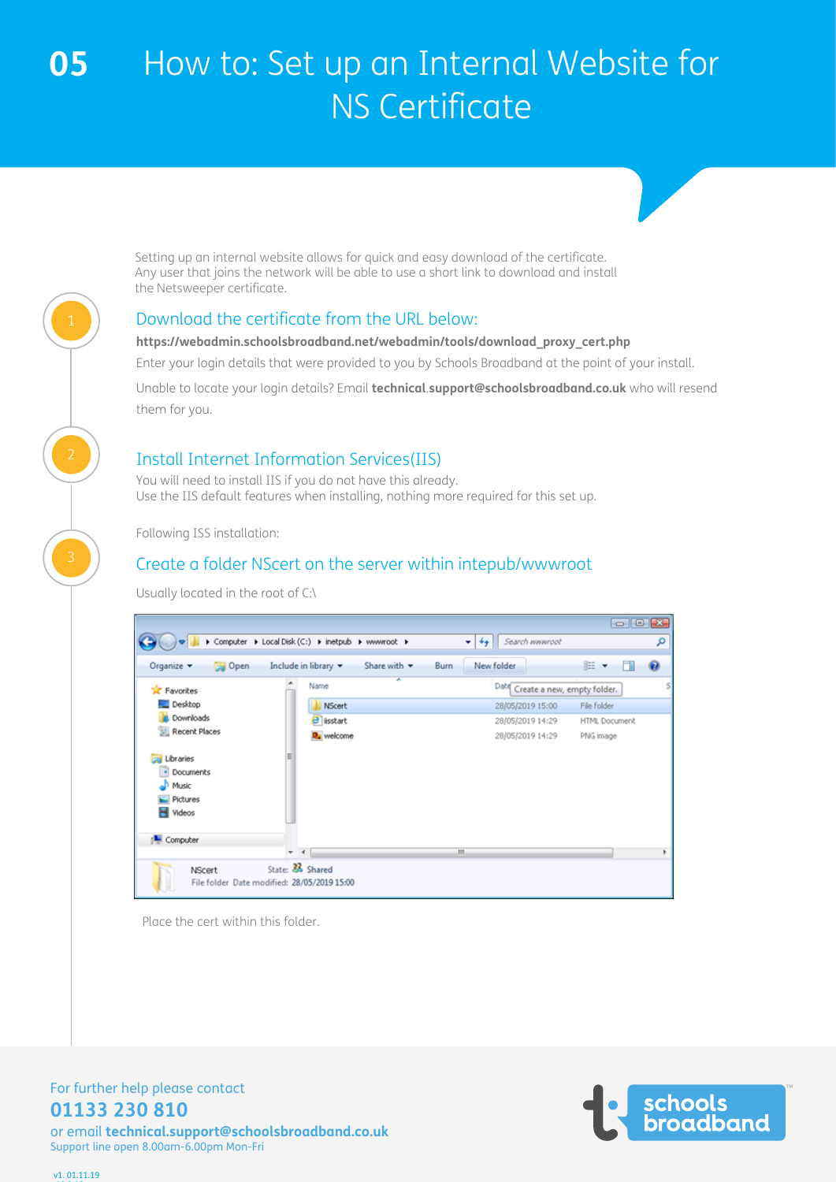Setting up an internal website allows for quick and easy download of the certificate. Any user that joins the network will be able to use a short link to download and install the Netsweeper certificate.

### Download the certificate from the URL below:

#### **https://webadmin.schoolsbroadband.net/webadmin/tools/download\_proxy\_cert.php**

Enter your login details that were provided to you by Schools Broadband at the point of your install.

Unable to locate your login details? Email **technical**.**support@schoolsbroadband.co.uk** who will resend them for you.

### Install Internet Information Services(IIS)

You will need to install IIS if you do not have this already. Use the IIS default features when installing, nothing more required for this set up.

Following ISS installation:

### Create a folder NScert on the server within intepub/wwwroot

Usually located in the root of C:\

|                                                                 |                                                     |                             |      |                                     | $\Box$ $\Box$ $\bm{X}$ |   |
|-----------------------------------------------------------------|-----------------------------------------------------|-----------------------------|------|-------------------------------------|------------------------|---|
|                                                                 | ▶ Computer ▶ Local Disk (C:) ▶ inetpub ▶ www.root ▶ |                             | $-4$ | Search wwwroot                      |                        | م |
| Organize v<br>Open                                              | Include in library v                                | Share with v<br><b>Burn</b> |      | New folder                          | 88 ▼                   | ◉ |
| <b>X</b> Favorites                                              | Name                                                | ×                           |      | Date<br>Create a new, empty folder. |                        | s |
| Desktop                                                         | <b>NScert</b>                                       |                             |      | 28/05/2019 15:00                    | File folder            |   |
| <b>Downloads</b>                                                | $\boldsymbol{\theta}$ isstart                       |                             |      | 28/05/2019 14:29                    | HTML Document          |   |
| Recent Places                                                   | <b>R</b> e welcome                                  |                             |      | 28/05/2019 14:29                    | PNG image              |   |
| Libraries<br>×<br>Documents<br>Music<br>Pictures<br>н<br>Videos |                                                     |                             |      |                                     |                        |   |
| Computer                                                        |                                                     |                             |      |                                     |                        |   |
|                                                                 | $\overline{\phantom{a}}$<br>$\rightarrow$           |                             | m    |                                     |                        |   |
| <b>NScert</b><br>File folder Date modified: 28/05/2019 15:00    | State: 26 Shared                                    |                             |      |                                     |                        |   |

Place the cert within this folder.



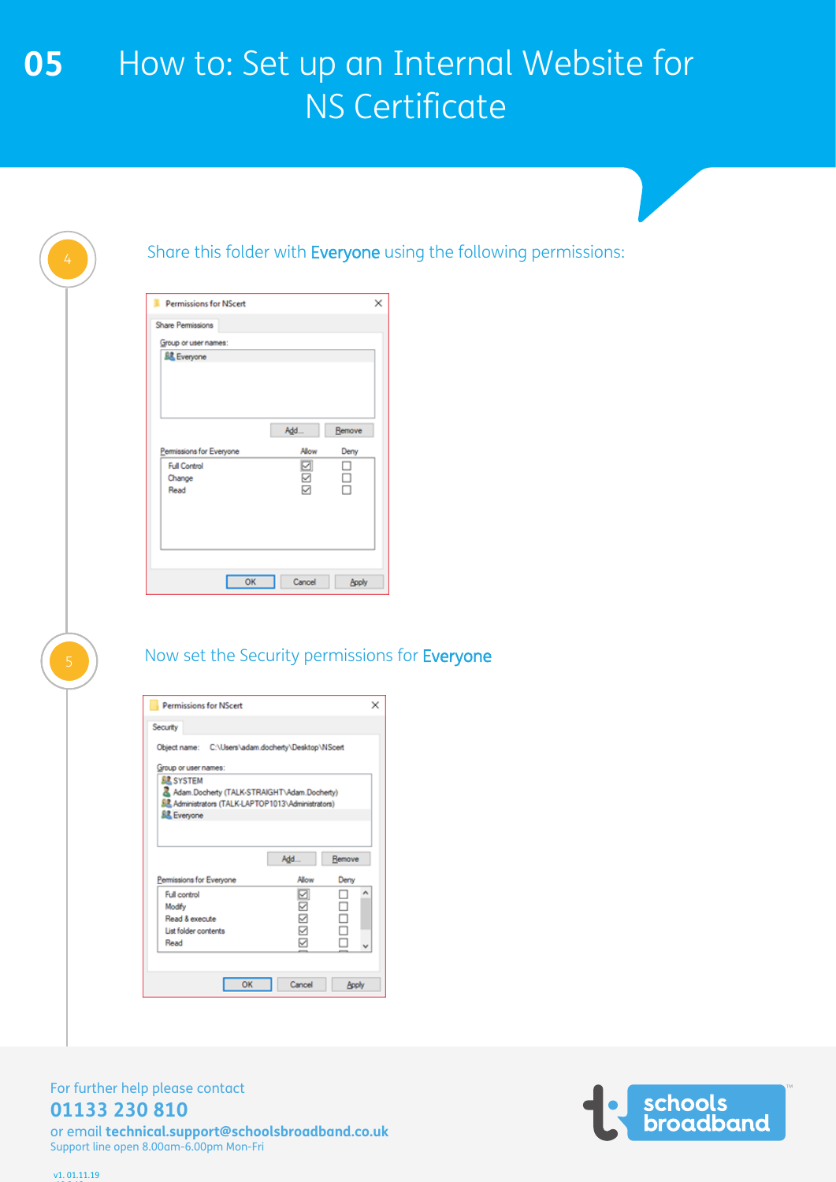| 4              | Share this folder with Everyone using the following permissions:                                                                                          |
|----------------|-----------------------------------------------------------------------------------------------------------------------------------------------------------|
|                | ×<br><b>Permissions for NScert</b><br>Share Permissions<br>Group or user names:                                                                           |
|                | <u>线</u> Everyone<br>Add<br>Remove                                                                                                                        |
|                | Permissions for Everyone<br>Allow<br>Deny<br>☑<br>□<br><b>Full Control</b><br>$\Box$<br>☑<br>Change<br>☑<br>□<br>Read                                     |
|                | OK<br>Cancel<br><b>Apply</b>                                                                                                                              |
| $\overline{5}$ | Now set the Security permissions for Everyone                                                                                                             |
|                | ×<br><b>Permissions for NScert</b>                                                                                                                        |
|                | Security<br>Object name: C:\Users\adam.docherty\Desktop\NScert                                                                                            |
|                | Group or user names:<br><u>健</u> SYSTEM<br>Adam.Docherty (TALK-STRAIGHT\Adam.Docherty)<br>息 Administrators (TALK-LAPTOP1013\Administrators)<br>显 Everyone |
|                | Add<br>Remove<br>Permissions for Everyone<br>Allow<br>Deny<br>⊡<br>□<br>$\hat{\phantom{a}}$<br>Full control                                               |
|                | ☑<br>□<br>Modify<br><b>NDI</b><br>$\Box$<br>Read & execute<br>$\Box$<br>List folder contents<br>☑<br>□<br>Read<br>$\checkmark$                            |
|                | OK<br>Cancel<br><b>Apply</b>                                                                                                                              |

For further help please contact **01133 230 810**

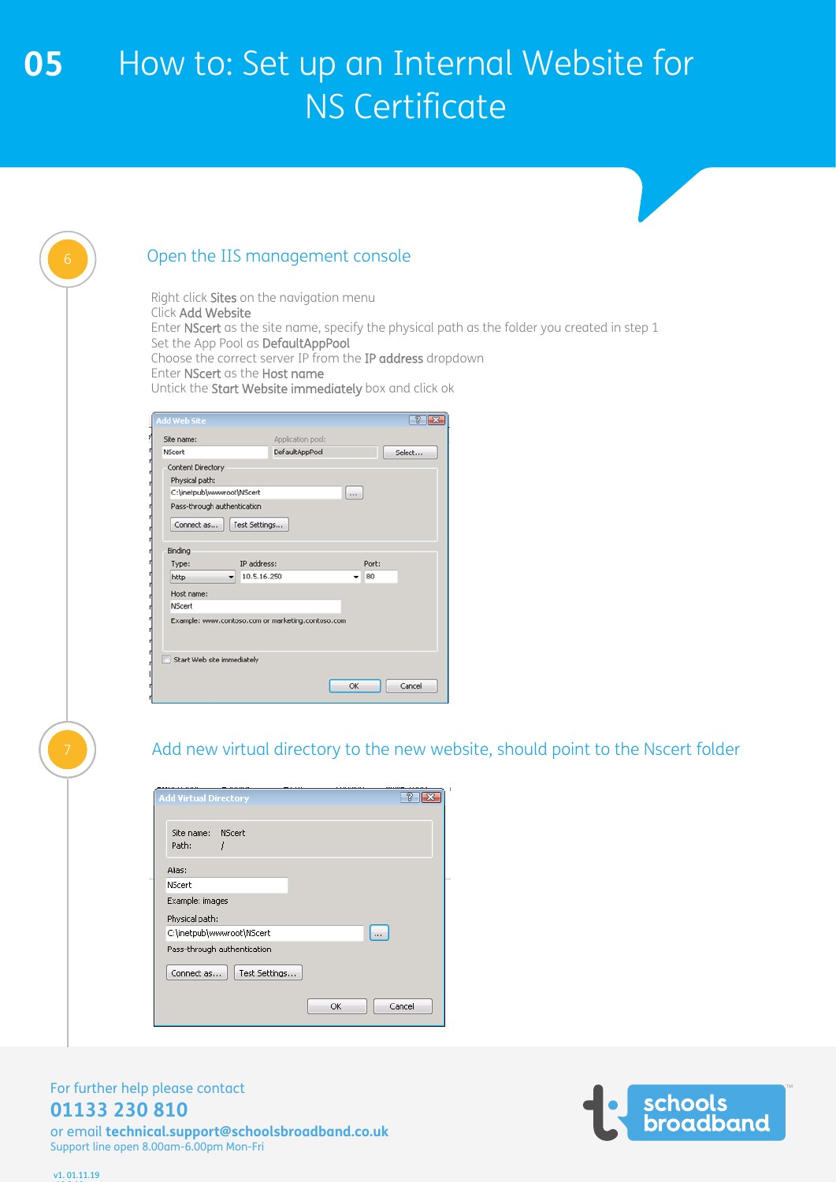| 6 | Open the IIS management console                                                                                                                                                                                                                                                                                                                            |
|---|------------------------------------------------------------------------------------------------------------------------------------------------------------------------------------------------------------------------------------------------------------------------------------------------------------------------------------------------------------|
|   | Right click Sites on the navigation menu<br>Click Add Website<br>Enter NScert as the site name, specify the physical path as the folder you created in step 1<br>Set the App Pool as DefaultAppPool<br>Choose the correct server IP from the IP address dropdown<br>Enter NScert as the Host name<br>Untick the Start Website immediately box and click ok |
|   | <b>Add Web Site</b><br>7x                                                                                                                                                                                                                                                                                                                                  |
|   | Application pool:<br>Site name:<br>DefaultAppPool<br>NScert<br>Select                                                                                                                                                                                                                                                                                      |
|   | Content Directory<br>Physical path:<br>C:\inetpub\www.root\NScert<br>$\cdots$<br>Pass-through authentication<br>Test Settings<br>Connect as<br>Binding<br>IP address:<br>Type:<br>Port:<br>10.5.16.250<br>80<br>http<br>▾<br>۰<br>Host name:<br>NScert<br>Example: www.contoso.com or marketing.contoso.com<br>Start Web site immediately<br>OK<br>Cancel  |
|   |                                                                                                                                                                                                                                                                                                                                                            |
|   | Add new virtual directory to the new website, should point to the Nscert folder                                                                                                                                                                                                                                                                            |

dd Virtual Directory  $72$ Site name: NScert Path:  $\boldsymbol{f}$ Alias: NScert Example: images Physical path: C:\inetpub\wwwroot\NScert  $\Box$ Pass-through authentication  $[$  Connect as...  $]$   $[$  Test Settings...  $\overline{\alpha}$ Cancel

### For further help please contact **01133 230 810**